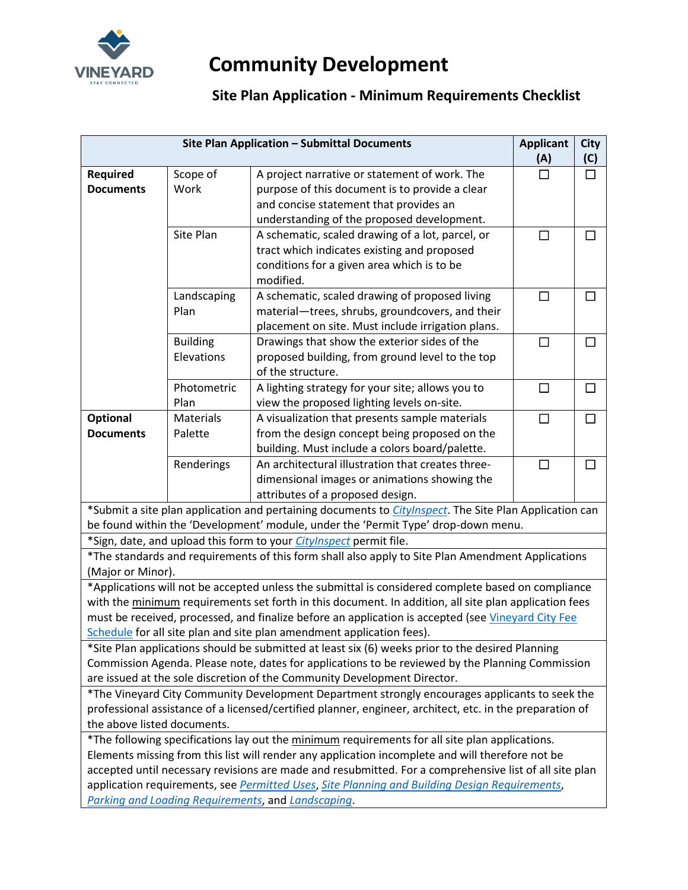

## **Community Development**

## **Site Plan Application - Minimum Requirements Checklist**

| Site Plan Application - Submittal Documents                                                                                                                                                                |                  |                                                                                                                | <b>Applicant</b><br>(A) | <b>City</b><br>(C) |  |  |
|------------------------------------------------------------------------------------------------------------------------------------------------------------------------------------------------------------|------------------|----------------------------------------------------------------------------------------------------------------|-------------------------|--------------------|--|--|
| <b>Required</b>                                                                                                                                                                                            | Scope of         | A project narrative or statement of work. The                                                                  | $\Box$                  | □                  |  |  |
| <b>Documents</b>                                                                                                                                                                                           | Work             | purpose of this document is to provide a clear                                                                 |                         |                    |  |  |
|                                                                                                                                                                                                            |                  | and concise statement that provides an                                                                         |                         |                    |  |  |
|                                                                                                                                                                                                            |                  |                                                                                                                |                         |                    |  |  |
|                                                                                                                                                                                                            | Site Plan        | understanding of the proposed development.<br>A schematic, scaled drawing of a lot, parcel, or                 | □                       | $\perp$            |  |  |
|                                                                                                                                                                                                            |                  | tract which indicates existing and proposed                                                                    |                         |                    |  |  |
|                                                                                                                                                                                                            |                  | conditions for a given area which is to be                                                                     |                         |                    |  |  |
|                                                                                                                                                                                                            |                  | modified.                                                                                                      |                         |                    |  |  |
|                                                                                                                                                                                                            | Landscaping      | A schematic, scaled drawing of proposed living                                                                 | $\Box$                  | ΙI                 |  |  |
|                                                                                                                                                                                                            | Plan             | material-trees, shrubs, groundcovers, and their                                                                |                         |                    |  |  |
|                                                                                                                                                                                                            |                  | placement on site. Must include irrigation plans.                                                              |                         |                    |  |  |
|                                                                                                                                                                                                            | <b>Building</b>  | Drawings that show the exterior sides of the                                                                   | $\Box$                  | П                  |  |  |
|                                                                                                                                                                                                            | Elevations       | proposed building, from ground level to the top                                                                |                         |                    |  |  |
|                                                                                                                                                                                                            |                  | of the structure.                                                                                              |                         |                    |  |  |
|                                                                                                                                                                                                            | Photometric      | A lighting strategy for your site; allows you to                                                               | $\Box$                  |                    |  |  |
|                                                                                                                                                                                                            | Plan             | view the proposed lighting levels on-site.                                                                     |                         |                    |  |  |
| <b>Optional</b>                                                                                                                                                                                            | <b>Materials</b> | A visualization that presents sample materials                                                                 | $\Box$                  | П                  |  |  |
| <b>Documents</b>                                                                                                                                                                                           | Palette          | from the design concept being proposed on the                                                                  |                         |                    |  |  |
|                                                                                                                                                                                                            |                  | building. Must include a colors board/palette.                                                                 |                         |                    |  |  |
|                                                                                                                                                                                                            | Renderings       | An architectural illustration that creates three-                                                              | $\Box$                  | П                  |  |  |
|                                                                                                                                                                                                            |                  | dimensional images or animations showing the                                                                   |                         |                    |  |  |
|                                                                                                                                                                                                            |                  | attributes of a proposed design.                                                                               |                         |                    |  |  |
|                                                                                                                                                                                                            |                  | *Submit a site plan application and pertaining documents to <i>CityInspect</i> . The Site Plan Application can |                         |                    |  |  |
|                                                                                                                                                                                                            |                  | be found within the 'Development' module, under the 'Permit Type' drop-down menu.                              |                         |                    |  |  |
|                                                                                                                                                                                                            |                  | *Sign, date, and upload this form to your <i>CityInspect</i> permit file.                                      |                         |                    |  |  |
|                                                                                                                                                                                                            |                  | *The standards and requirements of this form shall also apply to Site Plan Amendment Applications              |                         |                    |  |  |
| (Major or Minor).                                                                                                                                                                                          |                  |                                                                                                                |                         |                    |  |  |
|                                                                                                                                                                                                            |                  | *Applications will not be accepted unless the submittal is considered complete based on compliance             |                         |                    |  |  |
|                                                                                                                                                                                                            |                  | with the minimum requirements set forth in this document. In addition, all site plan application fees          |                         |                    |  |  |
|                                                                                                                                                                                                            |                  | must be received, processed, and finalize before an application is accepted (see Vineyard City Fee             |                         |                    |  |  |
|                                                                                                                                                                                                            |                  | Schedule for all site plan and site plan amendment application fees).                                          |                         |                    |  |  |
|                                                                                                                                                                                                            |                  | *Site Plan applications should be submitted at least six (6) weeks prior to the desired Planning               |                         |                    |  |  |
| Commission Agenda. Please note, dates for applications to be reviewed by the Planning Commission                                                                                                           |                  |                                                                                                                |                         |                    |  |  |
| are issued at the sole discretion of the Community Development Director.                                                                                                                                   |                  |                                                                                                                |                         |                    |  |  |
| *The Vineyard City Community Development Department strongly encourages applicants to seek the<br>professional assistance of a licensed/certified planner, engineer, architect, etc. in the preparation of |                  |                                                                                                                |                         |                    |  |  |
| the above listed documents.                                                                                                                                                                                |                  |                                                                                                                |                         |                    |  |  |
| *The following specifications lay out the minimum requirements for all site plan applications.                                                                                                             |                  |                                                                                                                |                         |                    |  |  |
| Elements missing from this list will render any application incomplete and will therefore not be                                                                                                           |                  |                                                                                                                |                         |                    |  |  |
| accepted until necessary revisions are made and resubmitted. For a comprehensive list of all site plan                                                                                                     |                  |                                                                                                                |                         |                    |  |  |
| application requirements, see Permitted Uses, Site Planning and Building Design Requirements,                                                                                                              |                  |                                                                                                                |                         |                    |  |  |
| Parking and Loading Requirements, and Landscaping.                                                                                                                                                         |                  |                                                                                                                |                         |                    |  |  |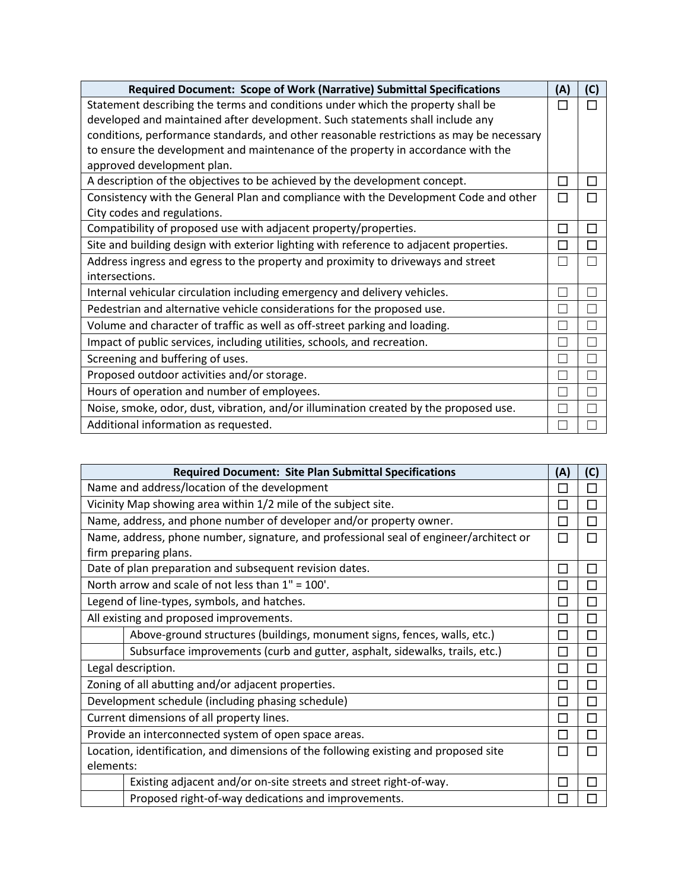| Required Document: Scope of Work (Narrative) Submittal Specifications                    | (A)     | (C) |
|------------------------------------------------------------------------------------------|---------|-----|
| Statement describing the terms and conditions under which the property shall be          | П       |     |
| developed and maintained after development. Such statements shall include any            |         |     |
| conditions, performance standards, and other reasonable restrictions as may be necessary |         |     |
| to ensure the development and maintenance of the property in accordance with the         |         |     |
| approved development plan.                                                               |         |     |
| A description of the objectives to be achieved by the development concept.               | $\Box$  | Π   |
| Consistency with the General Plan and compliance with the Development Code and other     | П       |     |
| City codes and regulations.                                                              |         |     |
| Compatibility of proposed use with adjacent property/properties.                         | П       | П   |
| Site and building design with exterior lighting with reference to adjacent properties.   | П       | П   |
| Address ingress and egress to the property and proximity to driveways and street         | Г       |     |
| intersections.                                                                           |         |     |
| Internal vehicular circulation including emergency and delivery vehicles.                |         |     |
| Pedestrian and alternative vehicle considerations for the proposed use.                  | and the |     |
| Volume and character of traffic as well as off-street parking and loading.               |         |     |
| Impact of public services, including utilities, schools, and recreation.                 |         |     |
| Screening and buffering of uses.                                                         |         |     |
| Proposed outdoor activities and/or storage.                                              |         |     |
| Hours of operation and number of employees.                                              |         |     |
| Noise, smoke, odor, dust, vibration, and/or illumination created by the proposed use.    |         |     |
| Additional information as requested.                                                     |         |     |

| <b>Required Document: Site Plan Submittal Specifications</b>                           |                             |                          |
|----------------------------------------------------------------------------------------|-----------------------------|--------------------------|
| Name and address/location of the development                                           |                             |                          |
| Vicinity Map showing area within 1/2 mile of the subject site.                         | П                           |                          |
| Name, address, and phone number of developer and/or property owner.                    | $\mathcal{L}_{\mathcal{A}}$ | $\overline{\phantom{a}}$ |
| Name, address, phone number, signature, and professional seal of engineer/architect or | П                           |                          |
| firm preparing plans.                                                                  |                             |                          |
| Date of plan preparation and subsequent revision dates.                                | E                           |                          |
| North arrow and scale of not less than 1" = 100'.                                      | Π                           | П                        |
| Legend of line-types, symbols, and hatches.                                            | I.                          |                          |
| All existing and proposed improvements.                                                | $\mathcal{L}$               | П                        |
| Above-ground structures (buildings, monument signs, fences, walls, etc.)               |                             |                          |
| Subsurface improvements (curb and gutter, asphalt, sidewalks, trails, etc.)            |                             |                          |
| Legal description.                                                                     |                             |                          |
| Zoning of all abutting and/or adjacent properties.                                     |                             |                          |
| Development schedule (including phasing schedule)                                      |                             |                          |
| Current dimensions of all property lines.                                              | $\overline{\phantom{0}}$    | $\overline{\phantom{a}}$ |
| Provide an interconnected system of open space areas.                                  |                             |                          |
| Location, identification, and dimensions of the following existing and proposed site   |                             |                          |
| elements:                                                                              |                             |                          |
| Existing adjacent and/or on-site streets and street right-of-way.                      |                             |                          |
| Proposed right-of-way dedications and improvements.                                    | L.                          |                          |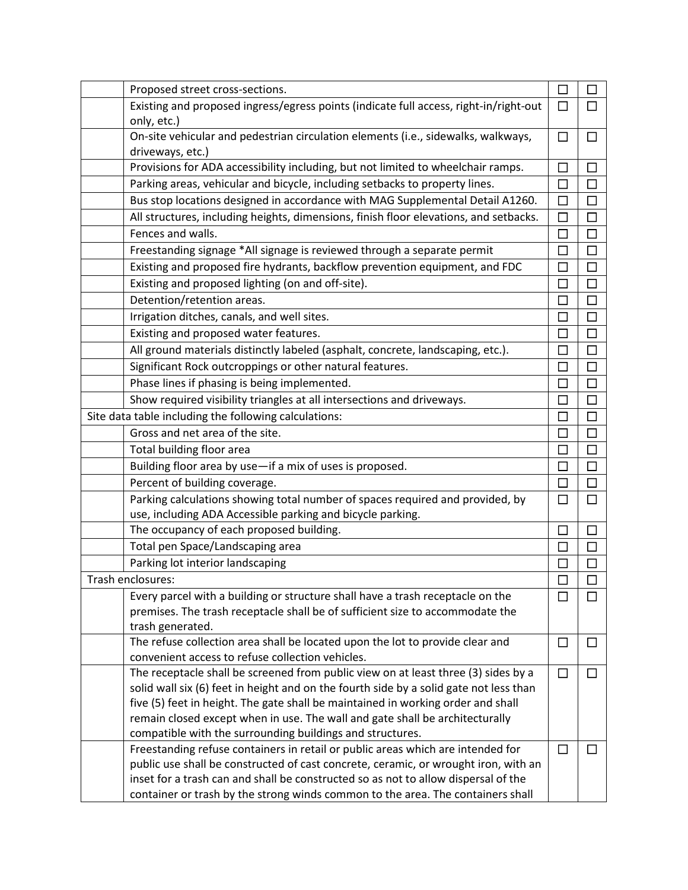| Proposed street cross-sections.                                                                                                              | $\Box$                      | П            |
|----------------------------------------------------------------------------------------------------------------------------------------------|-----------------------------|--------------|
| Existing and proposed ingress/egress points (indicate full access, right-in/right-out                                                        | □                           | П            |
| only, etc.)                                                                                                                                  |                             |              |
| On-site vehicular and pedestrian circulation elements (i.e., sidewalks, walkways,                                                            | □                           | П            |
| driveways, etc.)                                                                                                                             |                             |              |
| Provisions for ADA accessibility including, but not limited to wheelchair ramps.                                                             | □                           |              |
| Parking areas, vehicular and bicycle, including setbacks to property lines.                                                                  | □                           | П            |
| Bus stop locations designed in accordance with MAG Supplemental Detail A1260.                                                                | □                           | $\Box$       |
| All structures, including heights, dimensions, finish floor elevations, and setbacks.                                                        | $\Box$                      | □            |
| Fences and walls.                                                                                                                            | $\Box$                      | $\Box$       |
| Freestanding signage *All signage is reviewed through a separate permit                                                                      | П                           | $\Box$       |
| Existing and proposed fire hydrants, backflow prevention equipment, and FDC                                                                  | □                           | $\Box$       |
| Existing and proposed lighting (on and off-site).                                                                                            | $\Box$                      | $\Box$       |
| Detention/retention areas.                                                                                                                   | $\Box$                      | $\Box$       |
| Irrigation ditches, canals, and well sites.                                                                                                  | П                           | $\Box$       |
| Existing and proposed water features.                                                                                                        | $\Box$                      | $\Box$       |
| All ground materials distinctly labeled (asphalt, concrete, landscaping, etc.).                                                              | $\Box$                      | □            |
| Significant Rock outcroppings or other natural features.                                                                                     | $\Box$                      |              |
| Phase lines if phasing is being implemented.                                                                                                 | П                           |              |
| Show required visibility triangles at all intersections and driveways.                                                                       | $\Box$                      | $\Box$       |
| Site data table including the following calculations:                                                                                        | $\Box$                      | $\Box$       |
| Gross and net area of the site.                                                                                                              | □                           | $\Box$       |
| Total building floor area                                                                                                                    | $\Box$                      | $\Box$       |
| Building floor area by use-if a mix of uses is proposed.                                                                                     | $\Box$                      | $\Box$       |
| Percent of building coverage.                                                                                                                | $\Box$                      | $\Box$       |
| Parking calculations showing total number of spaces required and provided, by                                                                | $\Box$                      | П            |
| use, including ADA Accessible parking and bicycle parking.                                                                                   |                             |              |
| The occupancy of each proposed building.                                                                                                     | $\Box$                      | П            |
| Total pen Space/Landscaping area                                                                                                             | $\mathcal{L}_{\mathcal{A}}$ |              |
| Parking lot interior landscaping                                                                                                             | $\Box$                      | П            |
| Trash enclosures:                                                                                                                            |                             |              |
| Every parcel with a building or structure shall have a trash receptacle on the                                                               | □                           |              |
| premises. The trash receptacle shall be of sufficient size to accommodate the                                                                |                             |              |
| trash generated.                                                                                                                             |                             |              |
| The refuse collection area shall be located upon the lot to provide clear and                                                                | □                           | $\mathsf{L}$ |
| convenient access to refuse collection vehicles.                                                                                             |                             |              |
| The receptacle shall be screened from public view on at least three (3) sides by a                                                           | П                           |              |
| solid wall six (6) feet in height and on the fourth side by a solid gate not less than                                                       |                             |              |
| five (5) feet in height. The gate shall be maintained in working order and shall                                                             |                             |              |
| remain closed except when in use. The wall and gate shall be architecturally                                                                 |                             |              |
| compatible with the surrounding buildings and structures.<br>Freestanding refuse containers in retail or public areas which are intended for |                             |              |
| public use shall be constructed of cast concrete, ceramic, or wrought iron, with an                                                          | $\Box$                      |              |
| inset for a trash can and shall be constructed so as not to allow dispersal of the                                                           |                             |              |
| container or trash by the strong winds common to the area. The containers shall                                                              |                             |              |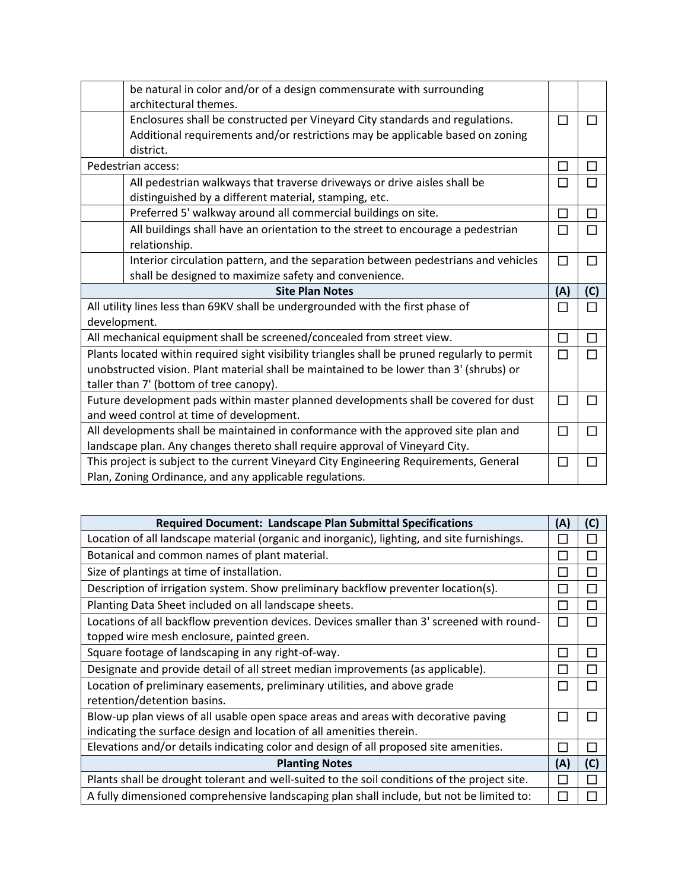| be natural in color and/or of a design commensurate with surrounding<br>architectural themes. |        |     |
|-----------------------------------------------------------------------------------------------|--------|-----|
|                                                                                               |        |     |
| Enclosures shall be constructed per Vineyard City standards and regulations.                  | П      |     |
| Additional requirements and/or restrictions may be applicable based on zoning                 |        |     |
| district.                                                                                     |        |     |
| Pedestrian access:                                                                            | П      | П   |
| All pedestrian walkways that traverse driveways or drive aisles shall be                      | П      |     |
| distinguished by a different material, stamping, etc.                                         |        |     |
| Preferred 5' walkway around all commercial buildings on site.                                 | $\Box$ | П   |
| All buildings shall have an orientation to the street to encourage a pedestrian               | П      |     |
| relationship.                                                                                 |        |     |
| Interior circulation pattern, and the separation between pedestrians and vehicles             | □      |     |
| shall be designed to maximize safety and convenience.                                         |        |     |
|                                                                                               |        |     |
| <b>Site Plan Notes</b>                                                                        | (A)    | (C) |
| All utility lines less than 69KV shall be undergrounded with the first phase of               | П      |     |
| development.                                                                                  |        |     |
| All mechanical equipment shall be screened/concealed from street view.                        | П      | П   |
| Plants located within required sight visibility triangles shall be pruned regularly to permit |        |     |
| unobstructed vision. Plant material shall be maintained to be lower than 3' (shrubs) or       |        |     |
| taller than 7' (bottom of tree canopy).                                                       |        |     |
| Future development pads within master planned developments shall be covered for dust          | $\Box$ |     |
| and weed control at time of development.                                                      |        |     |
| All developments shall be maintained in conformance with the approved site plan and           | П      |     |
| landscape plan. Any changes thereto shall require approval of Vineyard City.                  |        |     |
| This project is subject to the current Vineyard City Engineering Requirements, General        | П      |     |

| <b>Required Document: Landscape Plan Submittal Specifications</b>                            |                 |     |
|----------------------------------------------------------------------------------------------|-----------------|-----|
| Location of all landscape material (organic and inorganic), lighting, and site furnishings.  |                 |     |
| Botanical and common names of plant material.                                                |                 |     |
| Size of plantings at time of installation.                                                   |                 |     |
| Description of irrigation system. Show preliminary backflow preventer location(s).           |                 |     |
| Planting Data Sheet included on all landscape sheets.                                        |                 |     |
| Locations of all backflow prevention devices. Devices smaller than 3' screened with round-   | <b>Contract</b> |     |
| topped wire mesh enclosure, painted green.                                                   |                 |     |
| Square footage of landscaping in any right-of-way.                                           |                 |     |
| Designate and provide detail of all street median improvements (as applicable).              |                 |     |
| Location of preliminary easements, preliminary utilities, and above grade                    |                 |     |
| retention/detention basins.                                                                  |                 |     |
| Blow-up plan views of all usable open space areas and areas with decorative paving           |                 |     |
| indicating the surface design and location of all amenities therein.                         |                 |     |
| Elevations and/or details indicating color and design of all proposed site amenities.        |                 |     |
| <b>Planting Notes</b>                                                                        | (A)             | (C) |
| Plants shall be drought tolerant and well-suited to the soil conditions of the project site. |                 |     |
| A fully dimensioned comprehensive landscaping plan shall include, but not be limited to:     |                 |     |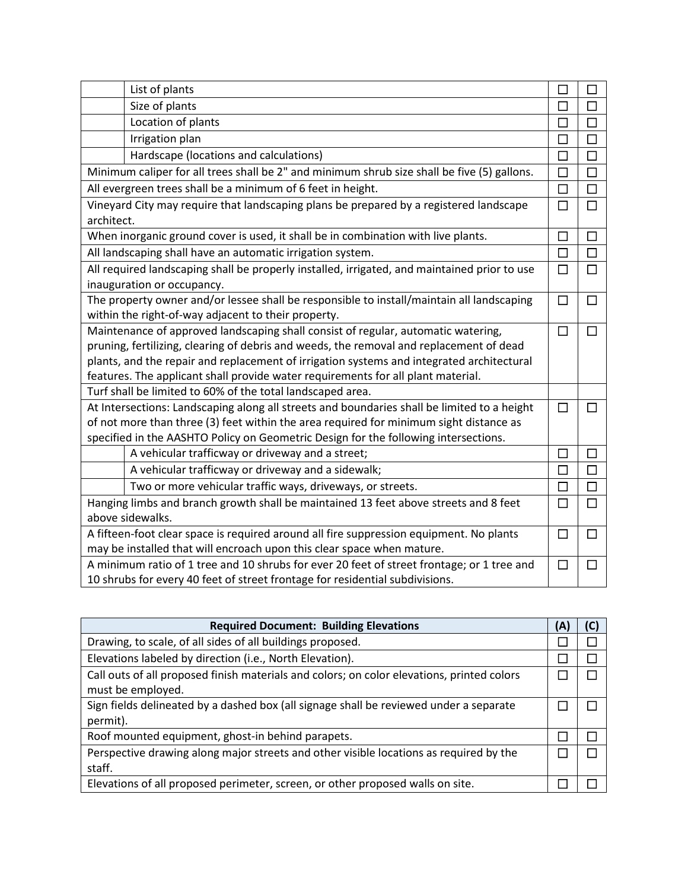| List of plants                                                                                                                                   | $\Box$ | П              |
|--------------------------------------------------------------------------------------------------------------------------------------------------|--------|----------------|
| Size of plants                                                                                                                                   | □      | □              |
| Location of plants                                                                                                                               | □      | $\Box$         |
| Irrigation plan                                                                                                                                  | $\Box$ | $\Box$         |
| Hardscape (locations and calculations)                                                                                                           | $\Box$ | $\Box$         |
| Minimum caliper for all trees shall be 2" and minimum shrub size shall be five (5) gallons.                                                      | $\Box$ | $\Box$         |
| All evergreen trees shall be a minimum of 6 feet in height.                                                                                      | $\Box$ | $\Box$         |
| Vineyard City may require that landscaping plans be prepared by a registered landscape<br>architect.                                             | $\Box$ | $\Box$         |
| When inorganic ground cover is used, it shall be in combination with live plants.                                                                | $\Box$ | □              |
| All landscaping shall have an automatic irrigation system.                                                                                       | $\Box$ | $\Box$         |
| All required landscaping shall be properly installed, irrigated, and maintained prior to use<br>inauguration or occupancy.                       | $\Box$ | $\Box$         |
| The property owner and/or lessee shall be responsible to install/maintain all landscaping<br>within the right-of-way adjacent to their property. | $\Box$ | $\Box$         |
| Maintenance of approved landscaping shall consist of regular, automatic watering,                                                                | $\Box$ | П              |
| pruning, fertilizing, clearing of debris and weeds, the removal and replacement of dead                                                          |        |                |
| plants, and the repair and replacement of irrigation systems and integrated architectural                                                        |        |                |
| features. The applicant shall provide water requirements for all plant material.                                                                 |        |                |
| Turf shall be limited to 60% of the total landscaped area.                                                                                       |        |                |
| At Intersections: Landscaping along all streets and boundaries shall be limited to a height                                                      | П      | $\blacksquare$ |
| of not more than three (3) feet within the area required for minimum sight distance as                                                           |        |                |
| specified in the AASHTO Policy on Geometric Design for the following intersections.                                                              |        |                |
| A vehicular trafficway or driveway and a street;                                                                                                 | $\Box$ | $\Box$         |
| A vehicular trafficway or driveway and a sidewalk;                                                                                               | $\Box$ | $\Box$         |
| Two or more vehicular traffic ways, driveways, or streets.                                                                                       | $\Box$ | $\Box$         |
| Hanging limbs and branch growth shall be maintained 13 feet above streets and 8 feet                                                             | $\Box$ | П              |
| above sidewalks.                                                                                                                                 |        |                |
| A fifteen-foot clear space is required around all fire suppression equipment. No plants                                                          |        | $\Box$         |
| may be installed that will encroach upon this clear space when mature.                                                                           |        |                |
| A minimum ratio of 1 tree and 10 shrubs for ever 20 feet of street frontage; or 1 tree and                                                       |        |                |
| 10 shrubs for every 40 feet of street frontage for residential subdivisions.                                                                     |        |                |

| <b>Required Document: Building Elevations</b>                                                                   |  |  |
|-----------------------------------------------------------------------------------------------------------------|--|--|
| Drawing, to scale, of all sides of all buildings proposed.                                                      |  |  |
| Elevations labeled by direction (i.e., North Elevation).                                                        |  |  |
| Call outs of all proposed finish materials and colors; on color elevations, printed colors<br>must be employed. |  |  |
| Sign fields delineated by a dashed box (all signage shall be reviewed under a separate<br>permit).              |  |  |
| Roof mounted equipment, ghost-in behind parapets.                                                               |  |  |
| Perspective drawing along major streets and other visible locations as required by the<br>staff.                |  |  |
| Elevations of all proposed perimeter, screen, or other proposed walls on site.                                  |  |  |